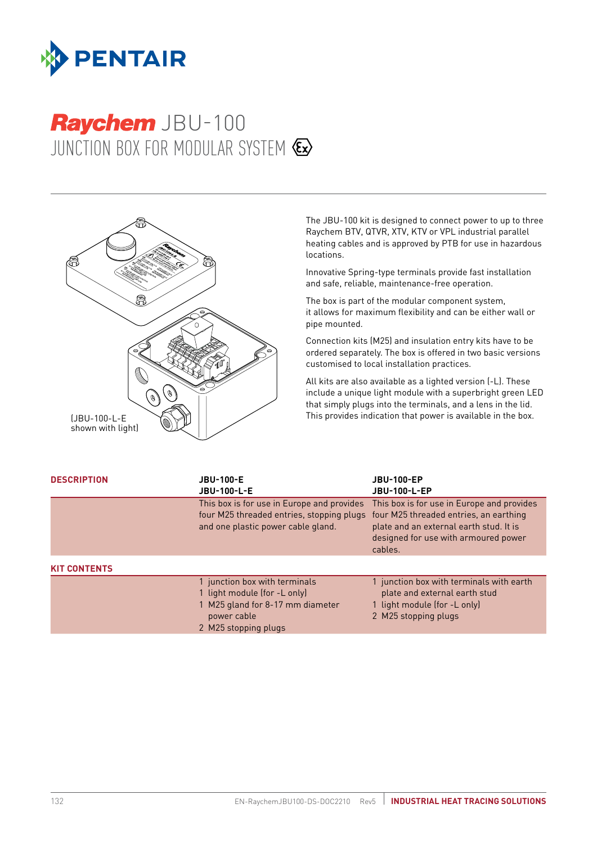

# JUNCTION BOX FOR MODULAR SYSTEM  $\&$ **Raychem JBU-100**



The JBU-100 kit is designed to connect power to up to three Raychem BTV, QTVR, XTV, KTV or VPL industrial parallel heating cables and is approved by PTB for use in hazardous locations.

Innovative Spring-type terminals provide fast installation and safe, reliable, maintenance-free operation.

The box is part of the modular component system, it allows for maximum flexibility and can be either wall or pipe mounted.

Connection kits (M25) and insulation entry kits have to be ordered separately. The box is offered in two basic versions customised to local installation practices.

All kits are also available as a lighted version (-L). These include a unique light module with a superbright green LED that simply plugs into the terminals, and a lens in the lid. This provides indication that power is available in the box.

| <b>DESCRIPTION</b>  | <b>JBU-100-E</b><br><b>JBU-100-L-E</b>                                                                                                   | <b>JBU-100-EP</b><br><b>JBU-100-L-EP</b>                                                                                                                                           |
|---------------------|------------------------------------------------------------------------------------------------------------------------------------------|------------------------------------------------------------------------------------------------------------------------------------------------------------------------------------|
|                     | This box is for use in Europe and provides<br>four M25 threaded entries, stopping plugs<br>and one plastic power cable gland.            | This box is for use in Europe and provides<br>four M25 threaded entries, an earthing<br>plate and an external earth stud. It is<br>designed for use with armoured power<br>cables. |
| <b>KIT CONTENTS</b> |                                                                                                                                          |                                                                                                                                                                                    |
|                     | 1 junction box with terminals<br>1 light module (for -L only)<br>1 M25 gland for 8-17 mm diameter<br>power cable<br>2 M25 stopping plugs | 1 junction box with terminals with earth<br>plate and external earth stud<br>1 light module (for -L only)<br>2 M25 stopping plugs                                                  |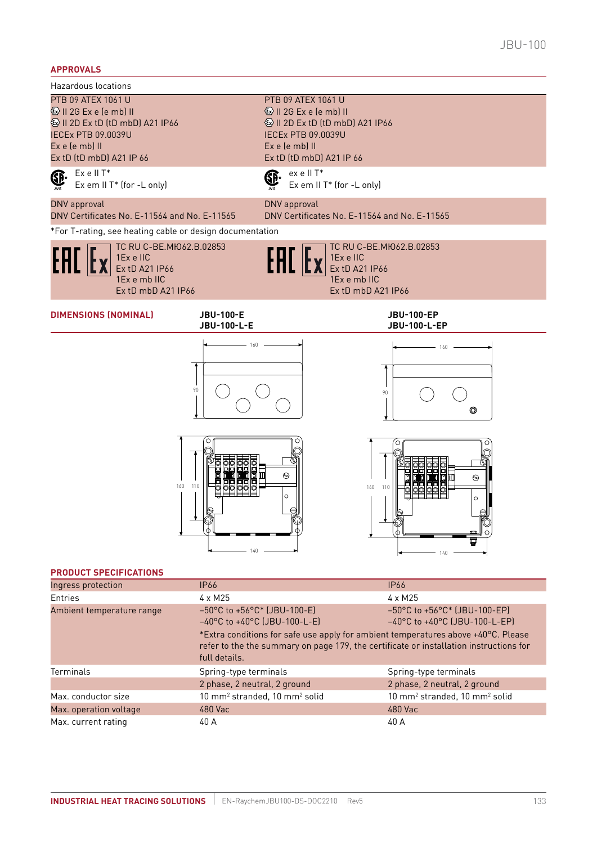#### **APPROVALS**

Hazardous locations

Ex e II T\* GP. Ex em II T\* (for -L only)

# GP.

ex e II T\* Ex em II T\* (for -L only)

 $\textcircled{k}$  II 2D Ex tD (tD mbD) A21 IP66

PTB 09 ATEX 1061 U II 2G Ex e (e mb) II

IECEx PTB 09.0039U Ex e (e mb) II

Ex tD (tD mbD) A21 IP 66

#### DNV approval DNV Certificates No. E-11564 and No. E-11565

DNV Certificates No. E-11564 and No. E-11565 \*For T-rating, see heating cable or design documentation

160 110

TC RU C-BE.MЮ62.B.02853

1Ex e IIC Ex tD A21 IP66 1Ex e mb IIC Ex tD mbD A21 IP66



DNV approval

TC RU C-BE.MЮ62.B.02853 1Ex e IIC Ex tD A21 IP66 1Ex e mb IIC Ex tD mbD A21 IP66

### **DIMENSIONS (NOMINAL) JBU-100-E**

**JBU-100-L-E**



140

**JBU-100-EP JBU-100-L-EP**





#### **PRODUCT SPECIFICATIONS**

| Ingress protection        | <b>IP66</b>                                                                                                                                                                                                                                                                                                                                                                                                  | <b>IP66</b>                                           |
|---------------------------|--------------------------------------------------------------------------------------------------------------------------------------------------------------------------------------------------------------------------------------------------------------------------------------------------------------------------------------------------------------------------------------------------------------|-------------------------------------------------------|
| Entries                   | $4 \times M25$                                                                                                                                                                                                                                                                                                                                                                                               | $4 \times M25$                                        |
| Ambient temperature range | $-50^{\circ}$ C to $+56^{\circ}$ C* (JBU-100-E)<br>$-50^{\circ}$ C to $+56^{\circ}$ C* (JBU-100-EP)<br>$-40^{\circ}$ C to $+40^{\circ}$ C (JBU-100-L-E)<br>$-40^{\circ}$ C to $+40^{\circ}$ C (JBU-100-L-EP)<br>*Extra conditions for safe use apply for ambient temperatures above +40°C. Please<br>refer to the the summary on page 179, the certificate or installation instructions for<br>full details. |                                                       |
| Terminals                 | Spring-type terminals                                                                                                                                                                                                                                                                                                                                                                                        | Spring-type terminals                                 |
|                           | 2 phase, 2 neutral, 2 ground                                                                                                                                                                                                                                                                                                                                                                                 | 2 phase, 2 neutral, 2 ground                          |
| Max. conductor size       | 10 mm <sup>2</sup> stranded, 10 mm <sup>2</sup> solid                                                                                                                                                                                                                                                                                                                                                        | 10 mm <sup>2</sup> stranded, 10 mm <sup>2</sup> solid |
| Max. operation voltage    | 480 Vac                                                                                                                                                                                                                                                                                                                                                                                                      | 480 Vac                                               |
| Max. current rating       | 40 A                                                                                                                                                                                                                                                                                                                                                                                                         | 40 A                                                  |

 $\odot$ 

 $\circ$